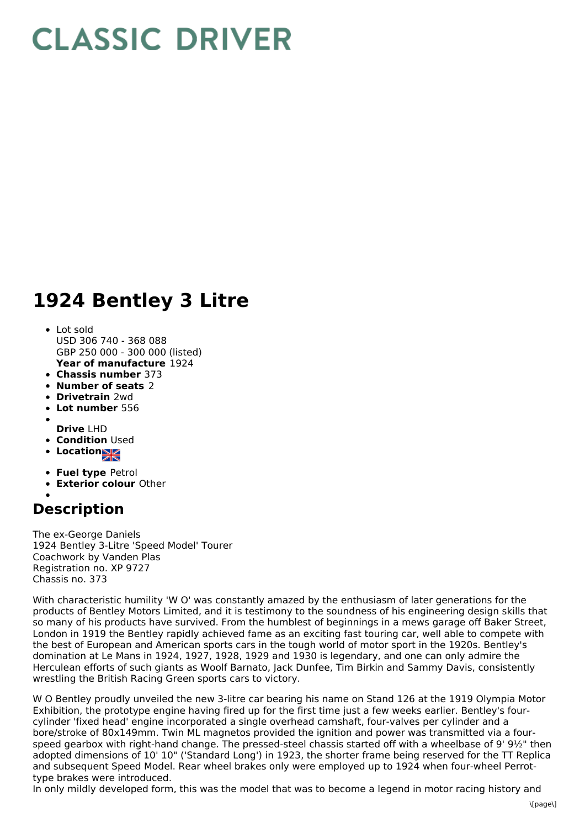## **CLASSIC DRIVER**

## **1924 Bentley 3 Litre**

## Lot sold

- **Year of manufacture** 1924 USD 306 740 - 368 088 GBP 250 000 - 300 000 (listed)
- **Chassis number** 373
- **Number of seats** 2
- **Drivetrain** 2wd
- **Lot number** 556
- **Drive** LHD
- **Condition Used**
- **Location**
- **Fuel type** Petrol
- **Exterior colour** Other
- 

## **Description**

The ex-George Daniels 1924 Bentley 3-Litre 'Speed Model' Tourer Coachwork by Vanden Plas Registration no. XP 9727 Chassis no. 373

With characteristic humility 'W O' was constantly amazed by the enthusiasm of later generations for the products of Bentley Motors Limited, and it is testimony to the soundness of his engineering design skills that so many of his products have survived. From the humblest of beginnings in a mews garage off Baker Street, London in 1919 the Bentley rapidly achieved fame as an exciting fast touring car, well able to compete with the best of European and American sports cars in the tough world of motor sport in the 1920s. Bentley's domination at Le Mans in 1924, 1927, 1928, 1929 and 1930 is legendary, and one can only admire the Herculean efforts of such giants as Woolf Barnato, Jack Dunfee, Tim Birkin and Sammy Davis, consistently wrestling the British Racing Green sports cars to victory.

W O Bentley proudly unveiled the new 3-litre car bearing his name on Stand 126 at the 1919 Olympia Motor Exhibition, the prototype engine having fired up for the first time just a few weeks earlier. Bentley's fourcylinder 'fixed head' engine incorporated a single overhead camshaft, four-valves per cylinder and a bore/stroke of 80x149mm. Twin ML magnetos provided the ignition and power was transmitted via a fourspeed gearbox with right-hand change. The pressed-steel chassis started off with a wheelbase of 9' 9½" then adopted dimensions of 10' 10" ('Standard Long') in 1923, the shorter frame being reserved for the TT Replica and subsequent Speed Model. Rear wheel brakes only were employed up to 1924 when four-wheel Perrottype brakes were introduced.

In only mildly developed form, this was the model that was to become a legend in motor racing history and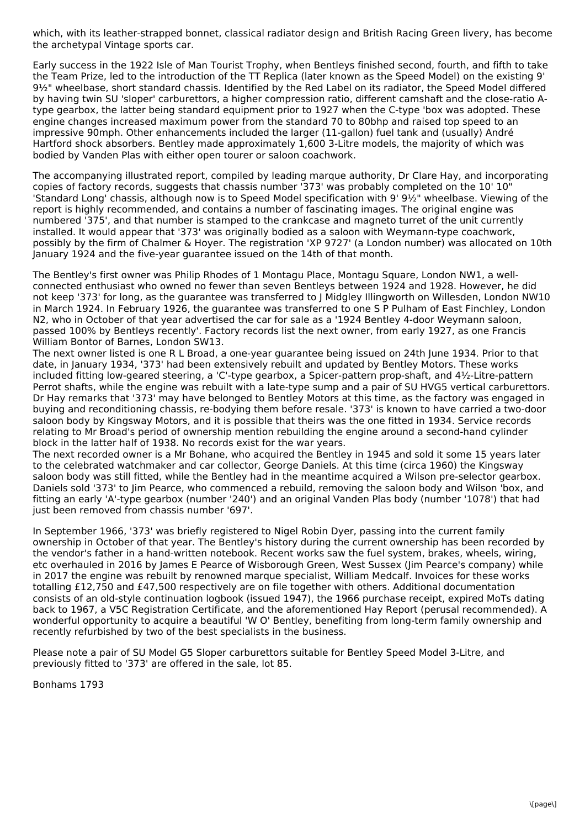which, with its leather-strapped bonnet, classical radiator design and British Racing Green livery, has become the archetypal Vintage sports car.

Early success in the 1922 Isle of Man Tourist Trophy, when Bentleys finished second, fourth, and fifth to take the Team Prize, led to the introduction of the TT Replica (later known as the Speed Model) on the existing 9' 9½" wheelbase, short standard chassis. Identified by the Red Label on its radiator, the Speed Model differed by having twin SU 'sloper' carburettors, a higher compression ratio, different camshaft and the close-ratio Atype gearbox, the latter being standard equipment prior to 1927 when the C-type 'box was adopted. These engine changes increased maximum power from the standard 70 to 80bhp and raised top speed to an impressive 90mph. Other enhancements included the larger (11-gallon) fuel tank and (usually) André Hartford shock absorbers. Bentley made approximately 1,600 3-Litre models, the majority of which was bodied by Vanden Plas with either open tourer or saloon coachwork.

The accompanying illustrated report, compiled by leading marque authority, Dr Clare Hay, and incorporating copies of factory records, suggests that chassis number '373' was probably completed on the 10' 10" 'Standard Long' chassis, although now is to Speed Model specification with 9' 9½" wheelbase. Viewing of the report is highly recommended, and contains a number of fascinating images. The original engine was numbered '375', and that number is stamped to the crankcase and magneto turret of the unit currently installed. It would appear that '373' was originally bodied as a saloon with Weymann-type coachwork, possibly by the firm of Chalmer & Hoyer. The registration 'XP 9727' (a London number) was allocated on 10th January 1924 and the five-year guarantee issued on the 14th of that month.

The Bentley's first owner was Philip Rhodes of 1 Montagu Place, Montagu Square, London NW1, a wellconnected enthusiast who owned no fewer than seven Bentleys between 1924 and 1928. However, he did not keep '373' for long, as the guarantee was transferred to J Midgley Illingworth on Willesden, London NW10 in March 1924. In February 1926, the guarantee was transferred to one S P Pulham of East Finchley, London N2, who in October of that year advertised the car for sale as a '1924 Bentley 4-door Weymann saloon, passed 100% by Bentleys recently'. Factory records list the next owner, from early 1927, as one Francis William Bontor of Barnes, London SW13.

The next owner listed is one R L Broad, a one-year guarantee being issued on 24th June 1934. Prior to that date, in January 1934, '373' had been extensively rebuilt and updated by Bentley Motors. These works included fitting low-geared steering, a 'C'-type gearbox, a Spicer-pattern prop-shaft, and 4½-Litre-pattern Perrot shafts, while the engine was rebuilt with a late-type sump and a pair of SU HVG5 vertical carburettors. Dr Hay remarks that '373' may have belonged to Bentley Motors at this time, as the factory was engaged in buying and reconditioning chassis, re-bodying them before resale. '373' is known to have carried a two-door saloon body by Kingsway Motors, and it is possible that theirs was the one fitted in 1934. Service records relating to Mr Broad's period of ownership mention rebuilding the engine around a second-hand cylinder block in the latter half of 1938. No records exist for the war years.

The next recorded owner is a Mr Bohane, who acquired the Bentley in 1945 and sold it some 15 years later to the celebrated watchmaker and car collector, George Daniels. At this time (circa 1960) the Kingsway saloon body was still fitted, while the Bentley had in the meantime acquired a Wilson pre-selector gearbox. Daniels sold '373' to Jim Pearce, who commenced a rebuild, removing the saloon body and Wilson 'box, and fitting an early 'A'-type gearbox (number '240') and an original Vanden Plas body (number '1078') that had just been removed from chassis number '697'.

In September 1966, '373' was briefly registered to Nigel Robin Dyer, passing into the current family ownership in October of that year. The Bentley's history during the current ownership has been recorded by the vendor's father in a hand-written notebook. Recent works saw the fuel system, brakes, wheels, wiring, etc overhauled in 2016 by James E Pearce of Wisborough Green, West Sussex (Jim Pearce's company) while in 2017 the engine was rebuilt by renowned marque specialist, William Medcalf. Invoices for these works totalling £12,750 and £47,500 respectively are on file together with others. Additional documentation consists of an old-style continuation logbook (issued 1947), the 1966 purchase receipt, expired MoTs dating back to 1967, a V5C Registration Certificate, and the aforementioned Hay Report (perusal recommended). A wonderful opportunity to acquire a beautiful 'W O' Bentley, benefiting from long-term family ownership and recently refurbished by two of the best specialists in the business.

Please note a pair of SU Model G5 Sloper carburettors suitable for Bentley Speed Model 3-Litre, and previously fitted to '373' are offered in the sale, lot 85.

Bonhams 1793